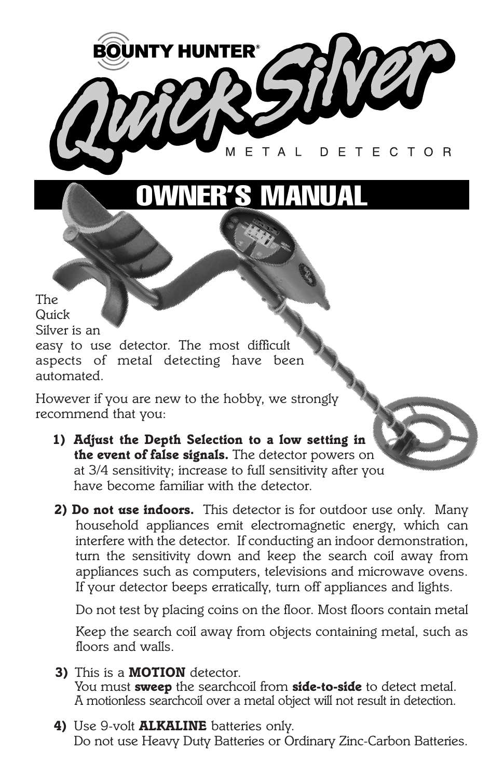

*However if you are new to the hobby, we strongly recommend that you:*

- *1) Adjust the Depth Selection to a low setting in the event of false signals. The detector powers on at 3/4 sensitivity; increase to full sensitivity after you have become familiar with the detector.*
- *2) Do not use indoors. This detector is for outdoor use only. Many household appliances emit electromagnetic energy, which can interfere with the detector. If conducting an indoor demonstration, turn the sensitivity down and keep the search coil away from appliances such as computers, televisions and microwave ovens. If your detector beeps erratically, turn off appliances and lights.*

*Do not test by placing coins on the floor. Most floors contain metal*

*Keep the search coil away from objects containing metal, such as floors and walls.*

- *3) This is a MOTION detector. You must sweep the searchcoil from side-to-side to detect metal. A motionless searchcoil over a metal object will not result in detection.*
- *4) Use 9-volt ALKALINE batteries only. Do not use Heavy Duty Batteries or Ordinary Zinc-Carbon Batteries.*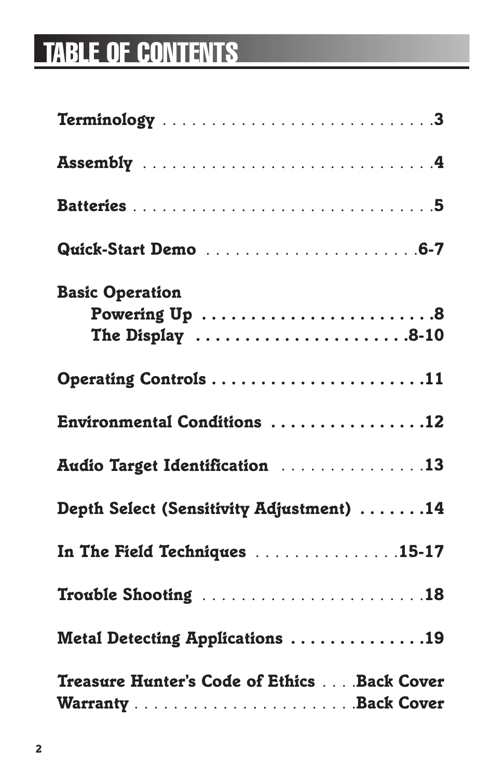# **TABLE OF CONTENTS**

| <b>Basic Operation</b><br>Powering Up 8<br>The Display $\dots\dots\dots\dots\dots\dots\dots 8-10$ |
|---------------------------------------------------------------------------------------------------|
| Operating Controls 11                                                                             |
| Environmental Conditions 12                                                                       |
| Audio Target Identification 13                                                                    |
| Depth Select (Sensitivity Adjustment) 14                                                          |
| In The Field Techniques 15-17                                                                     |
| Trouble Shooting 18                                                                               |
| Metal Detecting Applications 19                                                                   |
| Treasure Hunter's Code of Ethics Back Cover                                                       |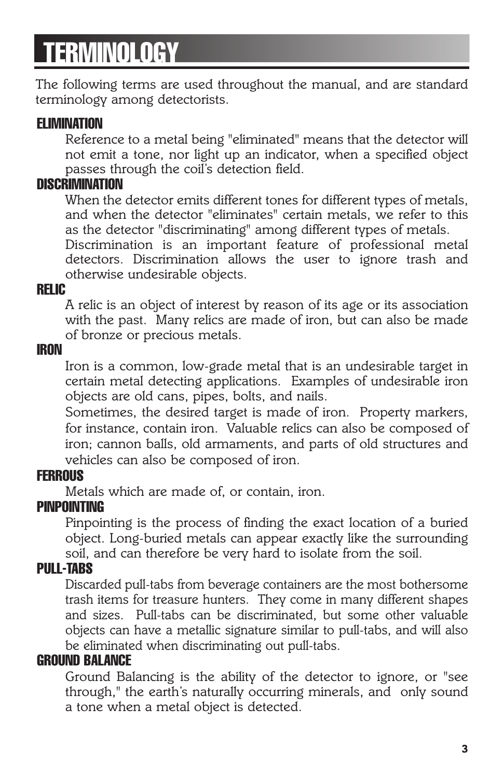# **TERMINOLOGY**

*The following terms are used throughout the manual, and are standard terminology among detectorists.*

#### **ELIMINATION**

*Reference to a metal being "eliminated" means that the detector will not emit a tone, nor light up an indicator, when a specified object passes through the coil's detection field.*

#### **DISCRIMINATION**

*When the detector emits different tones for different types of metals, and when the detector "eliminates" certain metals, we refer to this as the detector "discriminating" among different types of metals.*

*Discrimination is an important feature of professional metal detectors. Discrimination allows the user to ignore trash and otherwise undesirable objects.*

#### **RELIC**

*A relic is an object of interest by reason of its age or its association with the past. Many relics are made of iron, but can also be made of bronze or precious metals.*

#### **IRON**

*Iron is a common, low-grade metal that is an undesirable target in certain metal detecting applications. Examples of undesirable iron objects are old cans, pipes, bolts, and nails.*

*Sometimes, the desired target is made of iron. Property markers, for instance, contain iron. Valuable relics can also be composed of iron; cannon balls, old armaments, and parts of old structures and vehicles can also be composed of iron.*

#### **FERROUS**

*Metals which are made of, or contain, iron.*

#### **PINPOINTING**

*Pinpointing is the process of finding the exact location of a buried object. Long-buried metals can appear exactly like the surrounding soil, and can therefore be very hard to isolate from the soil.*

#### **PULL-TABS**

*Discarded pull-tabs from beverage containers are the most bothersome trash items for treasure hunters. They come in many different shapes and sizes. Pull-tabs can be discriminated, but some other valuable objects can have a metallic signature similar to pull-tabs, and will also be eliminated when discriminating out pull-tabs.*

#### **GROUND BALANCE**

*Ground Balancing is the ability of the detector to ignore, or "see through," the earth's naturally occurring minerals, and only sound a tone when a metal object is detected.*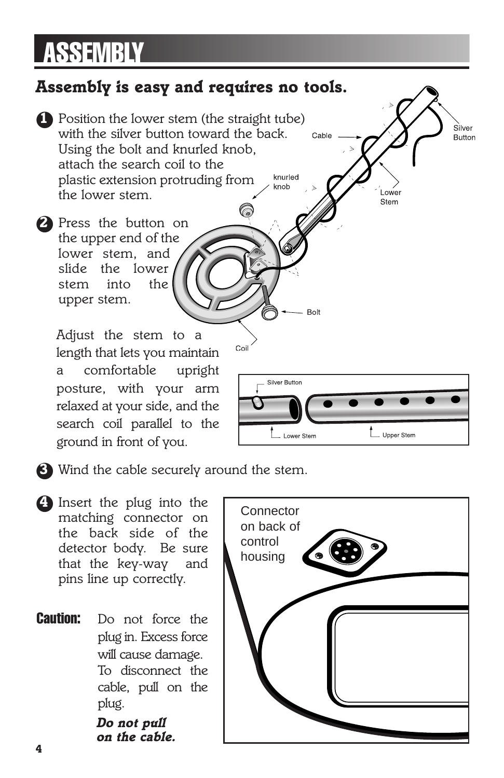# **ASSEMBLY**

## *Assembly is easy and requires no tools.*

- ●*1 Position the lower stem (the straight tube) with the silver button toward the back. Using the bolt and knurled knob, attach the search coil to the*  knurled *plastic extension protruding from the lower stem.*
- ●*2 Press the button on the upper end of the lower stem, and slide the lower stem into the upper stem.*

*Adjust the stem to a length that lets you maintain a comfortable upright posture, with your arm relaxed at your side, and the search coil parallel to the ground in front of you.*



Cable

**Bolt** 

Coil

ower. Stem

Silver

Button

- ●*3 Wind the cable securely around the stem.*
- ●*4 Insert the plug into the matching connector on the back side of the detector body. Be sure that the key-way and pins line up correctly.*
- **Caution:** *Do not force the plug in. Excess force will cause damage. To disconnect the cable, pull on the plug.*

*Do not pull on the cable.*

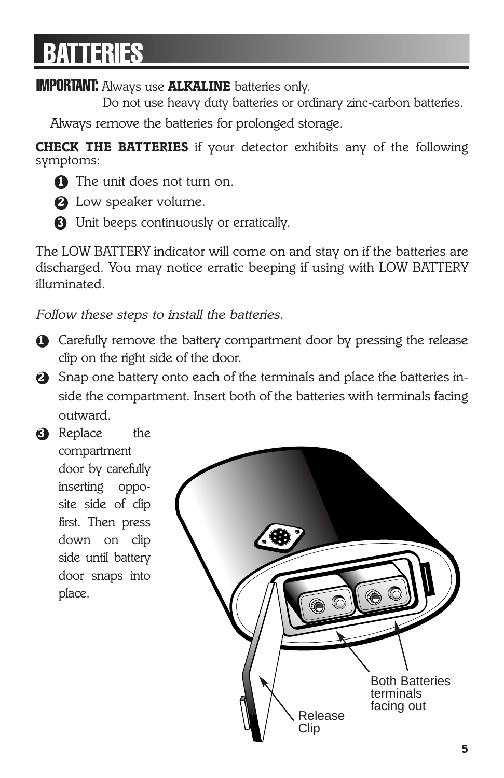# **BATTERIES**

### **IMPORTANT:** *Always use ALKALINE batteries only.*

*Do not use heavy duty batteries or ordinary zinc-carbon batteries.* 

*Always remove the batteries for prolonged storage.*

*CHECK THE BATTERIES if your detector exhibits any of the following symptoms:*

- **1** The unit does not turn on.
- ●*2 Low speaker volume.*
- ●*3 Unit beeps continuously or erratically.*

*The LOW BATTERY indicator will come on and stay on if the batteries are discharged. You may notice erratic beeping if using with LOW BATTERY illuminated.*

*Follow these steps to install the batteries.*

- $\bullet$  Carefully remove the battery compartment door by pressing the release *clip on the right side of the door.*
- ●*2 Snap one battery onto each of the terminals and place the batteries inside the compartment. Insert both of the batteries with terminals facing outward.*
- ●*3 Replace the compartment door by carefully inserting opposite side of clip first. Then press down on clip side until battery door snaps into place.*

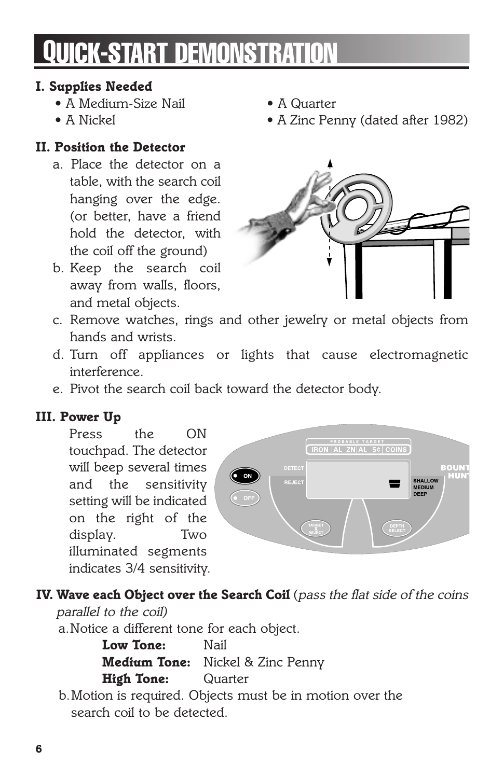# **QUICK-START DEMONSTRATION**

### *I. Supplies Needed*

- *A Medium-Size Nail A Quarter*
- 

### *II. Position the Detector*

- *a. Place the detector on a table, with the search coil hanging over the edge. (or better, have a friend hold the detector, with the coil off the ground)*
- *b. Keep the search coil away from walls, floors, and metal objects.*
- 
- *• A Nickel A Zinc Penny (dated after 1982)*



- *c. Remove watches, rings and other jewelry or metal objects from hands and wrists.*
- *d. Turn off appliances or lights that cause electromagnetic interference.*
- *e. Pivot the search coil back toward the detector body.*

### *III. Power Up*

*Press the ON touchpad. The detector will beep several times and the sensitivity setting will be indicated on the right of the display. Two illuminated segments indicates 3/4 sensitivity.*



## *IV. Wave each Object over the Search Coil (pass the flat side of the coins*

*parallel to the coil)*

*a.Notice a different tone for each object.*

*Low Tone: Nail Medium Tone: Nickel & Zinc Penny High Tone: Quarter*

*b.Motion is required. Objects must be in motion over the search coil to be detected.*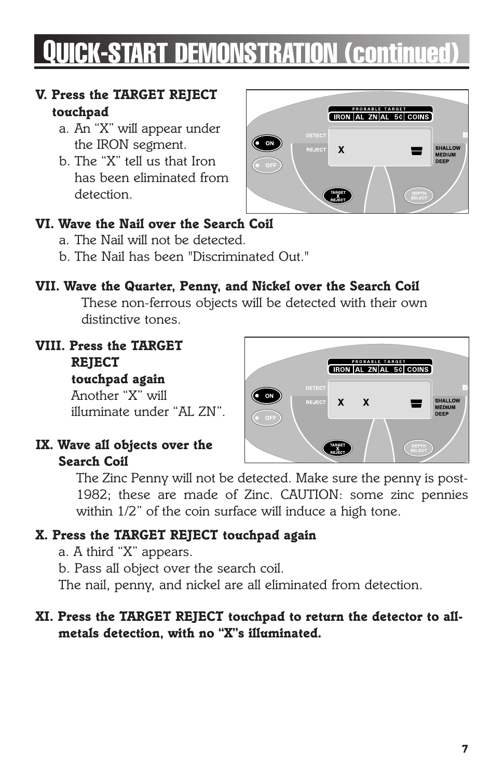# **QUICK-START DEMONSTRATION (continued)**

#### *V. Press the TARGET REJECT touchpad*

- *a. An "X" will appear under the IRON segment.*
- *b. The "X" tell us that Iron has been eliminated from detection.*



### *VI. Wave the Nail over the Search Coil*

- *a. The Nail will not be detected.*
- *b. The Nail has been "Discriminated Out."*

### *VII. Wave the Quarter, Penny, and Nickel over the Search Coil*

*These non-ferrous objects will be detected with their own distinctive tones.*

*VIII. Press the TARGET REJECT touchpad again*

*Another "X" will illuminate under "AL ZN".*

#### *IX. Wave all objects over the Search Coil*



*The Zinc Penny will not be detected. Make sure the penny is post-1982; these are made of Zinc. CAUTION: some zinc pennies within 1/2" of the coin surface will induce a high tone.*

### *X. Press the TARGET REJECT touchpad again*

*a. A third "X" appears.*

*b. Pass all object over the search coil.*

*The nail, penny, and nickel are all eliminated from detection.*

### *XI. Press the TARGET REJECT touchpad to return the detector to allmetals detection, with no "X"s illuminated.*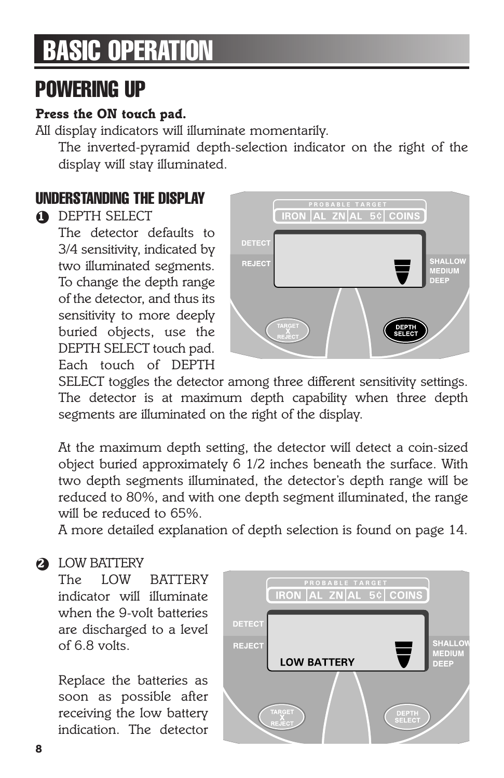# **BASIC OPERATION**

## **POWERING UP**

#### *Press the ON touch pad.*

*All display indicators will illuminate momentarily.*

*The inverted-pyramid depth-selection indicator on the right of the display will stay illuminated.*

## **UNDERSTANDING THE DISPLAY**

### ●*1 DEPTH SELECT*

*The detector defaults to 3/4 sensitivity, indicated by two illuminated segments. To change the depth range of the detector, and thus its sensitivity to more deeply buried objects, use the DEPTH SELECT touch pad. Each touch of DEPTH*



*SELECT toggles the detector among three different sensitivity settings. The detector is at maximum depth capability when three depth segments are illuminated on the right of the display.*

*At the maximum depth setting, the detector will detect a coin-sized object buried approximately 6 1/2 inches beneath the surface. With two depth segments illuminated, the detector's depth range will be reduced to 80%, and with one depth segment illuminated, the range will be reduced to 65%.*

*A more detailed explanation of depth selection is found on page 14.*

### ●*2 LOW BATTERY*

*The LOW BATTERY indicator will illuminate when the 9-volt batteries are discharged to a level of 6.8 volts.*

*Replace the batteries as soon as possible after receiving the low battery indication. The detector*

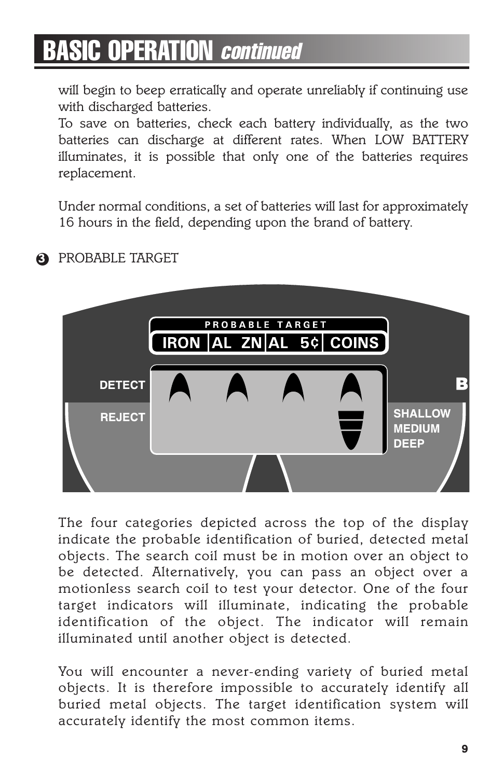*will begin to beep erratically and operate unreliably if continuing use with discharged batteries.*

*To save on batteries, check each battery individually, as the two batteries can discharge at different rates. When LOW BATTERY illuminates, it is possible that only one of the batteries requires replacement.*

*Under normal conditions, a set of batteries will last for approximately 16 hours in the field, depending upon the brand of battery.*



#### ●*3 PROBABLE TARGET*

*The four categories depicted across the top of the display indicate the probable identification of buried, detected metal objects. The search coil must be in motion over an object to be detected. Alternatively, you can pass an object over a motionless search coil to test your detector. One of the four target indicators will illuminate, indicating the probable identification of the object. The indicator will remain illuminated until another object is detected.*

*You will encounter a never-ending variety of buried metal objects. It is therefore impossible to accurately identify all buried metal objects. The target identification system will accurately identify the most common items.*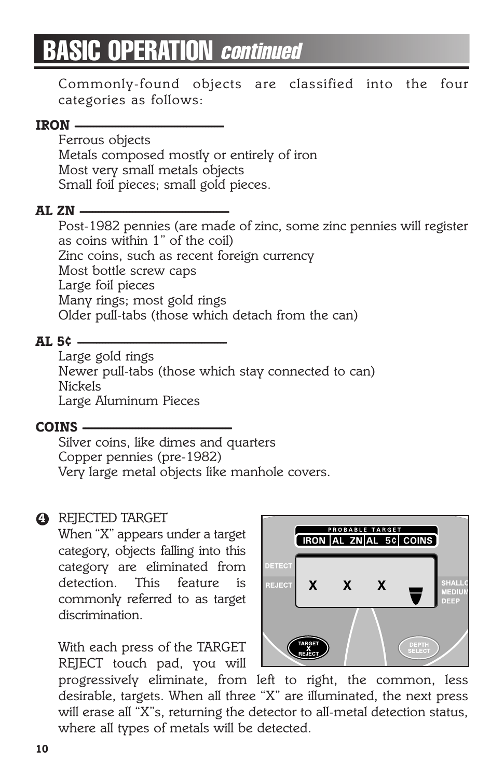*Commonly-found objects are classified into the four categories as follows:*

#### *IRON ------------------------------------------------*

*Ferrous objects Metals composed mostly or entirely of iron Most very small metals objects Small foil pieces; small gold pieces.*

#### *AL ZN ------------------------------------------------*

*Post-1982 pennies (are made of zinc, some zinc pennies will register as coins within 1" of the coil) Zinc coins, such as recent foreign currency Most bottle screw caps Large foil pieces Many rings; most gold rings Older pull-tabs (those which detach from the can)*

#### *AL 5¢ ------------------------------------------------*

*Large gold rings Newer pull-tabs (those which stay connected to can) Nickels Large Aluminum Pieces*

#### *COINS ------------------------------------------------*

*Silver coins, like dimes and quarters Copper pennies (pre-1982) Very large metal objects like manhole covers.*

#### ●*4 REJECTED TARGET*

*When "X" appears under a target category, objects falling into this category are eliminated from detection. This feature is commonly referred to as target discrimination.*

*With each press of the TARGET REJECT touch pad, you will*



*progressively eliminate, from left to right, the common, less desirable, targets. When all three "X" are illuminated, the next press will erase all "X"s, returning the detector to all-metal detection status, where all types of metals will be detected.*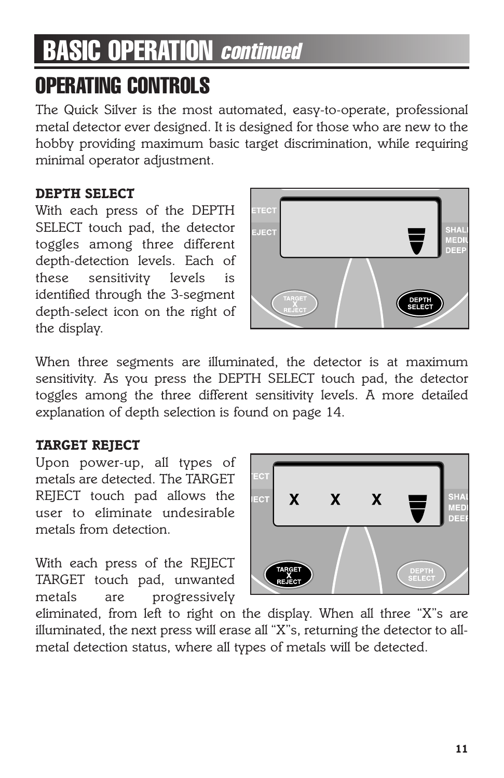# **OPERATING CONTROLS**

*The Quick Silver is the most automated, easy-to-operate, professional metal detector ever designed. It is designed for those who are new to the hobby providing maximum basic target discrimination, while requiring minimal operator adjustment.*

#### *DEPTH SELECT*

*With each press of the DEPTH SELECT touch pad, the detector toggles among three different depth-detection levels. Each of these sensitivity levels is identified through the 3-segment depth-select icon on the right of the display.*



*When three segments are illuminated, the detector is at maximum sensitivity. As you press the DEPTH SELECT touch pad, the detector toggles among the three different sensitivity levels. A more detailed explanation of depth selection is found on page 14.*

#### *TARGET REJECT*

*Upon power-up, all types of metals are detected. The TARGET REJECT touch pad allows the user to eliminate undesirable metals from detection.*

*With each press of the REJECT TARGET touch pad, unwanted metals are progressively*



*eliminated, from left to right on the display. When all three "X"s are illuminated, the next press will erase all "X"s, returning the detector to allmetal detection status, where all types of metals will be detected.*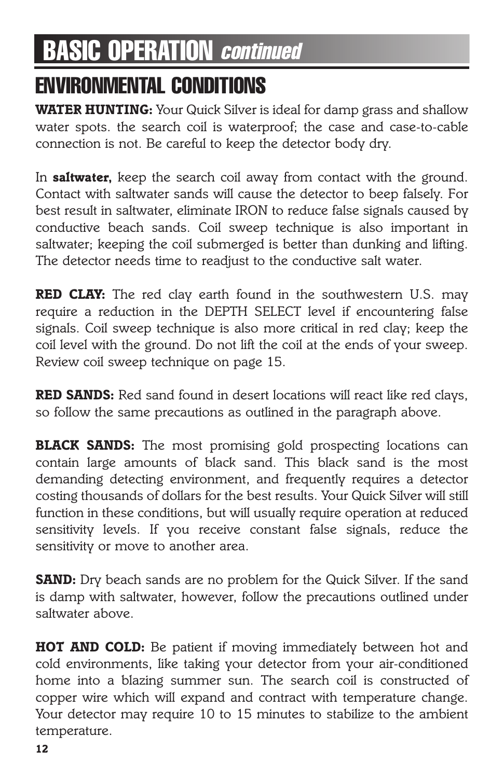## **ENVIRONMENTAL CONDITIONS**

*WATER HUNTING: Your Quick Silver is ideal for damp grass and shallow water spots. the search coil is waterproof; the case and case-to-cable connection is not. Be careful to keep the detector body dry.*

*In saltwater, keep the search coil away from contact with the ground. Contact with saltwater sands will cause the detector to beep falsely. For best result in saltwater, eliminate IRON to reduce false signals caused by conductive beach sands. Coil sweep technique is also important in saltwater; keeping the coil submerged is better than dunking and lifting. The detector needs time to readjust to the conductive salt water.*

*RED CLAY: The red clay earth found in the southwestern U.S. may require a reduction in the DEPTH SELECT level if encountering false signals. Coil sweep technique is also more critical in red clay; keep the coil level with the ground. Do not lift the coil at the ends of your sweep. Review coil sweep technique on page 15.*

*RED SANDS: Red sand found in desert locations will react like red clays, so follow the same precautions as outlined in the paragraph above.*

*BLACK SANDS: The most promising gold prospecting locations can contain large amounts of black sand. This black sand is the most demanding detecting environment, and frequently requires a detector costing thousands of dollars for the best results. Your Quick Silver will still function in these conditions, but will usually require operation at reduced sensitivity levels. If you receive constant false signals, reduce the sensitivity or move to another area.*

**SAND:** Dry beach sands are no problem for the Quick Silver. If the sand *is damp with saltwater, however, follow the precautions outlined under saltwater above.*

*HOT AND COLD: Be patient if moving immediately between hot and cold environments, like taking your detector from your air-conditioned home into a blazing summer sun. The search coil is constructed of copper wire which will expand and contract with temperature change. Your detector may require 10 to 15 minutes to stabilize to the ambient temperature.*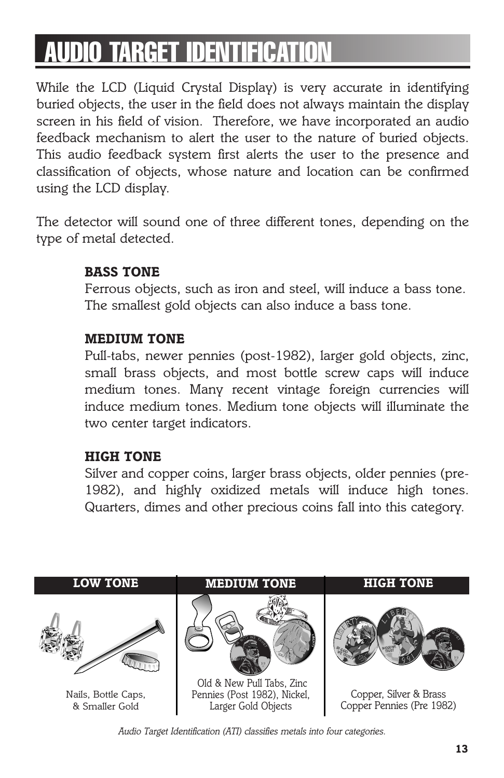# **AUDIO TARGET IDENTIFICATI**

*While the LCD (Liquid Crystal Display) is very accurate in identifying buried objects, the user in the field does not always maintain the display screen in his field of vision. Therefore, we have incorporated an audio feedback mechanism to alert the user to the nature of buried objects. This audio feedback system first alerts the user to the presence and classification of objects, whose nature and location can be confirmed using the LCD display.*

*The detector will sound one of three different tones, depending on the type of metal detected.*

#### *BASS TONE*

*Ferrous objects, such as iron and steel, will induce a bass tone. The smallest gold objects can also induce a bass tone.*

#### *MEDIUM TONE*

*Pull-tabs, newer pennies (post-1982), larger gold objects, zinc, small brass objects, and most bottle screw caps will induce medium tones. Many recent vintage foreign currencies will induce medium tones. Medium tone objects will illuminate the two center target indicators.*

#### *HIGH TONE*

*Silver and copper coins, larger brass objects, older pennies (pre-1982), and highly oxidized metals will induce high tones. Quarters, dimes and other precious coins fall into this category.*



*Audio Target Identification (ATI) classifies metals into four categories.*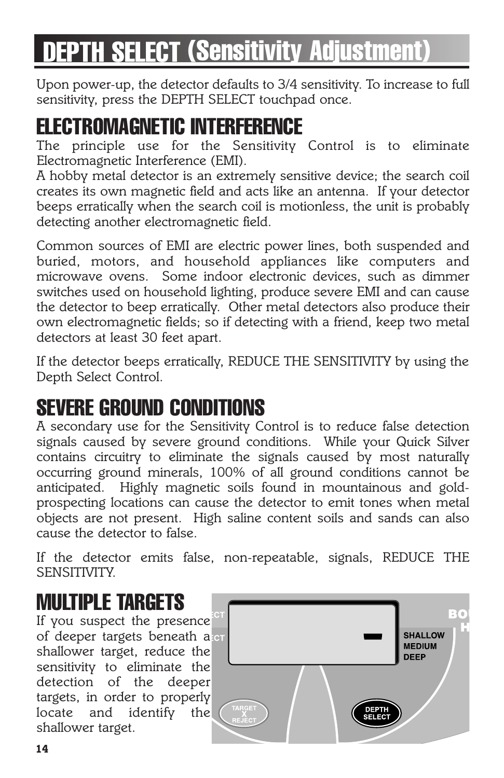# **DEPTH SELECT (Sensitivity Adjustment)**

*Upon power-up, the detector defaults to 3/4 sensitivity. To increase to full sensitivity, press the DEPTH SELECT touchpad once.*

## **ELECTROMAGNETIC INTERFERENCE**

*The principle use for the Sensitivity Control is to eliminate Electromagnetic Interference (EMI).*

*A hobby metal detector is an extremely sensitive device; the search coil creates its own magnetic field and acts like an antenna. If your detector beeps erratically when the search coil is motionless, the unit is probably detecting another electromagnetic field.*

*Common sources of EMI are electric power lines, both suspended and buried, motors, and household appliances like computers and microwave ovens. Some indoor electronic devices, such as dimmer switches used on household lighting, produce severe EMI and can cause the detector to beep erratically. Other metal detectors also produce their own electromagnetic fields; so if detecting with a friend, keep two metal detectors at least 30 feet apart.*

*If the detector beeps erratically, REDUCE THE SENSITIVITY by using the Depth Select Control.*

# **SEVERE GROUND CONDITIONS**

*A secondary use for the Sensitivity Control is to reduce false detection signals caused by severe ground conditions. While your Quick Silver contains circuitry to eliminate the signals caused by most naturally occurring ground minerals, 100% of all ground conditions cannot be anticipated. Highly magnetic soils found in mountainous and goldprospecting locations can cause the detector to emit tones when metal objects are not present. High saline content soils and sands can also cause the detector to false.*

*If the detector emits false, non-repeatable, signals, REDUCE THE SENSITIVITY.*

## **MULTIPLE TARGETS**

*If you suspect the presence of deeper targets beneath a shallower target, reduce the sensitivity to eliminate the detection of the deeper targets, in order to properly locate and identify the shallower target.*

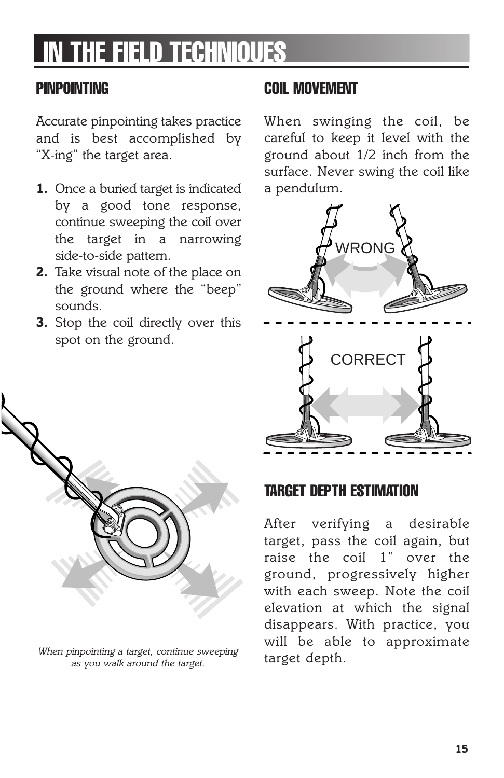# **THE FIELD TECHNIQUES**

### **PINPOINTING**

*Accurate pinpointing takes practice and is best accomplished by "X-ing" the target area.* 

- *1. Once a buried target is indicated by a good tone response, continue sweeping the coil over the target in a narrowing side-to-side pattern.*
- *2. Take visual note of the place on the ground where the "beep" sounds.*
- *3. Stop the coil directly over this spot on the ground.*

### **COIL MOVEMENT**

*When swinging the coil, be careful to keep it level with the ground about 1/2 inch from the surface. Never swing the coil like a pendulum.*





*When pinpointing a target, continue sweeping as you walk around the target.*

## **TARGET DEPTH ESTIMATION**

*After verifying a desirable target, pass the coil again, but raise the coil 1" over the ground, progressively higher with each sweep. Note the coil elevation at which the signal disappears. With practice, you will be able to approximate target depth.*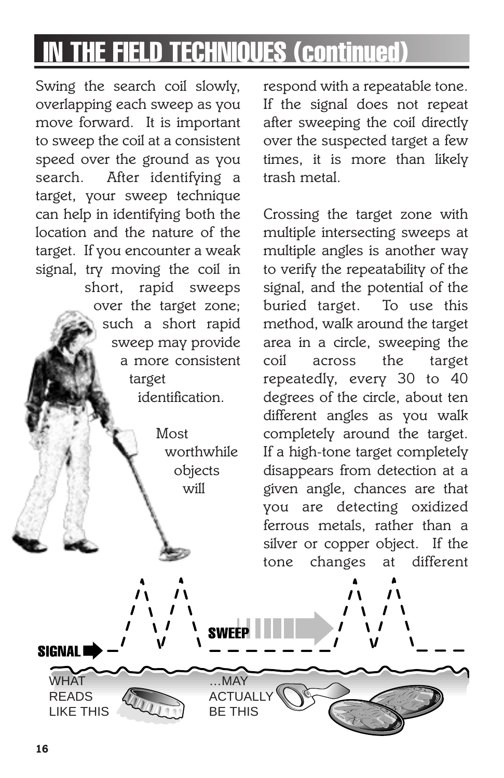# **IN THE FIELD TECHNIQUES (continued)**

*Swing the search coil slowly, overlapping each sweep as you move forward. It is important to sweep the coil at a consistent speed over the ground as you search. After identifying a target, your sweep technique can help in identifying both the location and the nature of the target. If you encounter a weak signal, try moving the coil in short, rapid sweeps over the target zone; such a short rapid sweep may provide a more consistent target identification.*

> *Most worthwhile objects will*

> > …MAY **ACTUALLY** BE THIS

**SWEEP** 

*respond with a repeatable tone. If the signal does not repeat after sweeping the coil directly over the suspected target a few times, it is more than likely trash metal.*

*Crossing the target zone with multiple intersecting sweeps at multiple angles is another way to verify the repeatability of the signal, and the potential of the buried target. To use this method, walk around the target area in a circle, sweeping the coil across the target repeatedly, every 30 to 40 degrees of the circle, about ten different angles as you walk completely around the target. If a high-tone target completely disappears from detection at a given angle, chances are that you are detecting oxidized ferrous metals, rather than a silver or copper object. If the tone changes at different*

**WHAT** READS LIKE THIS

**SIGNALI**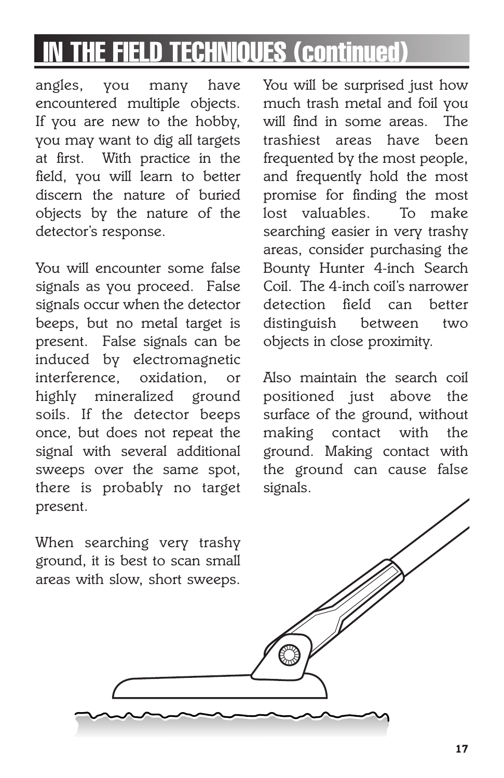# **THE FIELD TECHNIOUES (continued)**

*angles, you many have encountered multiple objects. If you are new to the hobby, you may want to dig all targets at first. With practice in the field, you will learn to better discern the nature of buried objects by the nature of the detector's response.*

*You will encounter some false signals as you proceed. False signals occur when the detector beeps, but no metal target is present. False signals can be induced by electromagnetic interference, oxidation, or highly mineralized ground soils. If the detector beeps once, but does not repeat the signal with several additional sweeps over the same spot, there is probably no target present.*

*When searching very trashy ground, it is best to scan small areas with slow, short sweeps.*

*You will be surprised just how much trash metal and foil you will find in some areas. The trashiest areas have been frequented by the most people, and frequently hold the most promise for finding the most lost valuables. To make searching easier in very trashy areas, consider purchasing the Bounty Hunter 4-inch Search Coil. The 4-inch coil's narrower detection field can better distinguish between two objects in close proximity.*

*Also maintain the search coil positioned just above the surface of the ground, without making contact with the ground. Making contact with the ground can cause false signals.*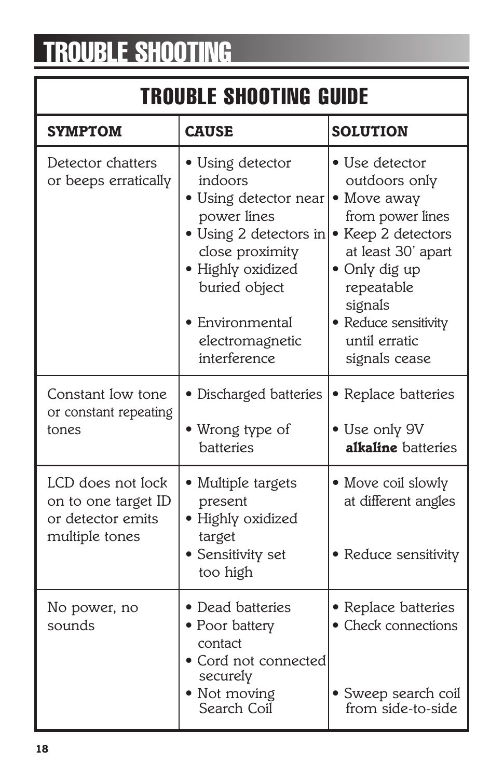# **TROUBLE SHOOTING**

## **TROUBLE SHOOTING GUIDE**

| <b>SYMPTOM</b>                                                                  | <b>CAUSE</b>                                                                                                                                                                                               | <b>SOLUTION</b>                                                                                                                                                                                                    |
|---------------------------------------------------------------------------------|------------------------------------------------------------------------------------------------------------------------------------------------------------------------------------------------------------|--------------------------------------------------------------------------------------------------------------------------------------------------------------------------------------------------------------------|
| Detector chatters<br>or beeps erratically                                       | • Using detector<br>indoors<br>• Using detector near<br>power lines<br>· Using 2 detectors in<br>close proximity<br>· Highly oxidized<br>buried object<br>Environmental<br>electromagnetic<br>interference | • Use detector<br>outdoors only<br>• Move away<br>from power lines<br>• Keep 2 detectors<br>at least 30' apart<br>• Only dig up<br>repeatable<br>signals<br>• Reduce sensitivity<br>until erratic<br>signals cease |
| Constant low tone<br>or constant repeating<br>tones                             | • Discharged batteries<br>• Wrong type of<br>batteries                                                                                                                                                     | • Replace batteries<br>• Use only 9V<br><b>alkaline</b> batteries                                                                                                                                                  |
| LCD does not lock<br>on to one target ID<br>or detector emits<br>multiple tones | • Multiple targets<br>present<br>· Highly oxidized<br>target<br>· Sensitivity set<br>too high                                                                                                              | • Move coil slowly<br>at different angles<br>• Reduce sensitivity                                                                                                                                                  |
| No power, no<br>sounds                                                          | • Dead batteries<br>• Poor battery<br>contact<br>• Cord not connected<br>securely<br>• Not moving<br>Search Coil                                                                                           | • Replace batteries<br>• Check connections<br>· Sweep search coil<br>from side-to-side                                                                                                                             |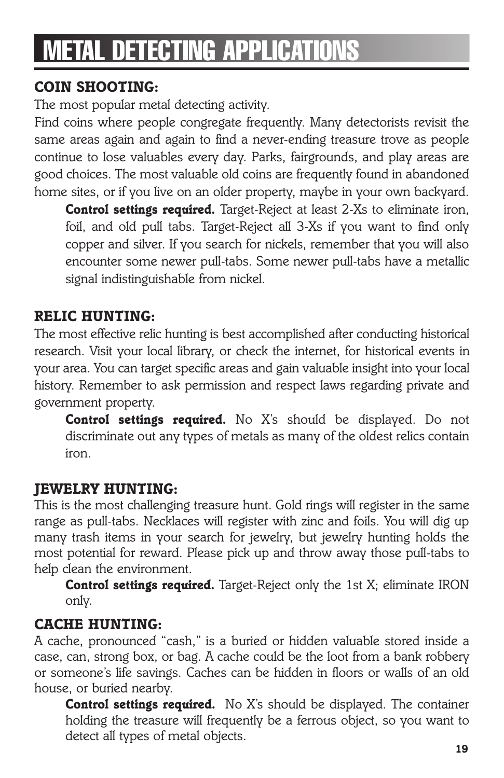# **METAL DETECTING APPLICATIONS**

## *COIN SHOOTING:*

*The most popular metal detecting activity.*

*Find coins where people congregate frequently. Many detectorists revisit the same areas again and again to find a never-ending treasure trove as people continue to lose valuables every day. Parks, fairgrounds, and play areas are good choices. The most valuable old coins are frequently found in abandoned home sites, or if you live on an older property, maybe in your own backyard.*

*Control settings required. Target-Reject at least 2-Xs to eliminate iron, foil, and old pull tabs. Target-Reject all 3-Xs if you want to find only copper and silver. If you search for nickels, remember that you will also encounter some newer pull-tabs. Some newer pull-tabs have a metallic signal indistinguishable from nickel.*

### *RELIC HUNTING:*

*The most effective relic hunting is best accomplished after conducting historical research. Visit your local library, or check the internet, for historical events in your area. You can target specific areas and gain valuable insight into your local history. Remember to ask permission and respect laws regarding private and government property.*

*Control settings required. No X's should be displayed. Do not discriminate out any types of metals as many of the oldest relics contain iron.*

### *JEWELRY HUNTING:*

*This is the most challenging treasure hunt. Gold rings will register in the same range as pull-tabs. Necklaces will register with zinc and foils. You will dig up many trash items in your search for jewelry, but jewelry hunting holds the most potential for reward. Please pick up and throw away those pull-tabs to help clean the environment.*

*Control settings required. Target-Reject only the 1st X; eliminate IRON only.*

### *CACHE HUNTING:*

*A cache, pronounced "cash," is a buried or hidden valuable stored inside a case, can, strong box, or bag. A cache could be the loot from a bank robbery or someone's life savings. Caches can be hidden in floors or walls of an old house, or buried nearby.*

*Control settings required. No X's should be displayed. The container holding the treasure will frequently be a ferrous object, so you want to detect all types of metal objects.*